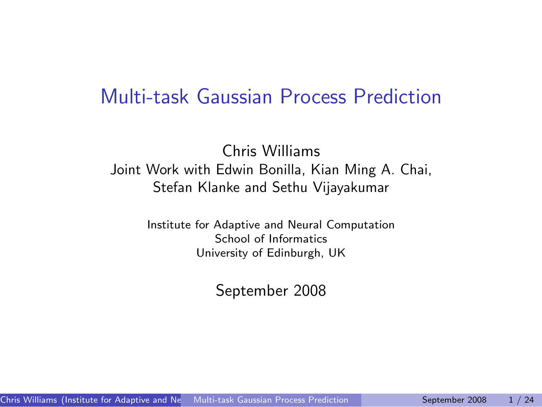### Multi-task Gaussian Process Prediction

#### Chris Williams Joint Work with Edwin Bonilla, Kian Ming A. Chai, Stefan Klanke and Sethu Vijayakumar

Institute for Adaptive and Neural Computation School of Informatics University of Edinburgh, UK

<span id="page-0-0"></span>September 2008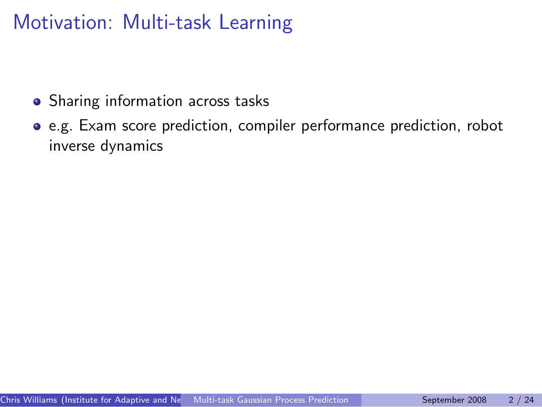## Motivation: Multi-task Learning

- Sharing information across tasks
- e.g. Exam score prediction, compiler performance prediction, robot inverse dynamics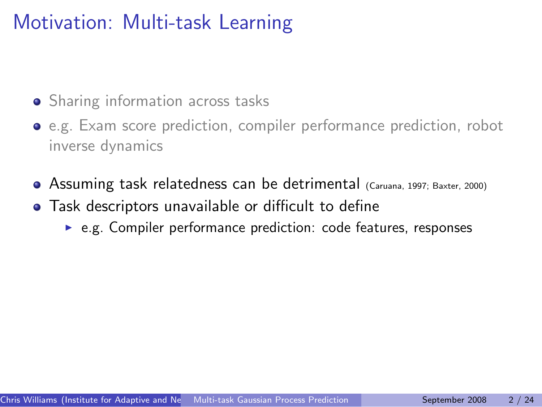# Motivation: Multi-task Learning

- **•** Sharing information across tasks
- e.g. Exam score prediction, compiler performance prediction, robot inverse dynamics
- Assuming task relatedness can be detrimental (Caruana, 1997; Baxter, 2000)
- Task descriptors unavailable or difficult to define
	- $\triangleright$  e.g. Compiler performance prediction: code features, responses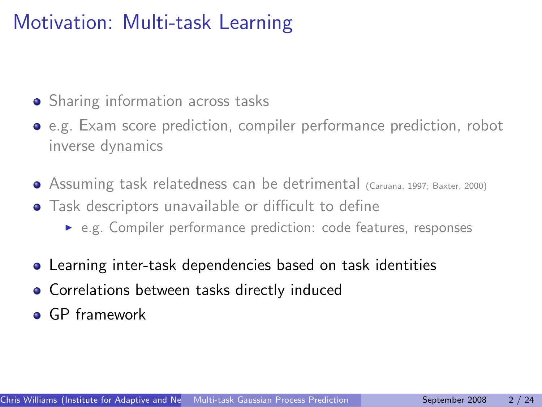# Motivation: Multi-task Learning

- Sharing information across tasks
- e.g. Exam score prediction, compiler performance prediction, robot inverse dynamics
- Assuming task relatedness can be detrimental (Caruana, 1997; Baxter, 2000)
- Task descriptors unavailable or difficult to define
	- e.g. Compiler performance prediction: code features, responses
- Learning inter-task dependencies based on task identities
- **Correlations between tasks directly induced**
- **GP** framework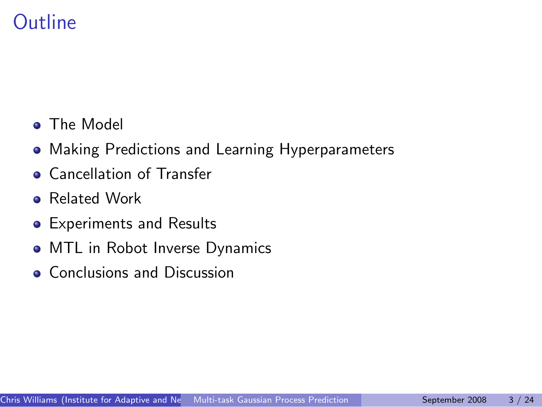# **Outline**

- **The Model**
- Making Predictions and Learning Hyperparameters
- **Cancellation of Transfer**
- **Related Work**
- Experiments and Results
- MTL in Robot Inverse Dynamics
- Conclusions and Discussion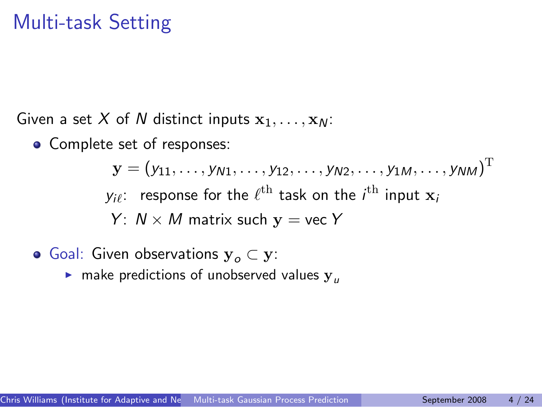### Multi-task Setting

Given a set X of N distinct inputs  $x_1, \ldots, x_N$ :

• Complete set of responses:

 $\mathbf{y}=\left(y_{11},\ldots,y_{\mathcal{N}1},\ldots,y_{12},\ldots,y_{\mathcal{N}2},\ldots,y_{1\mathcal{M}},\ldots,y_{\mathcal{N}\mathcal{M}}\right)^{\mathrm{T}}$  $y_{i\ell}$ : response for the  $\ell^{\text{th}}$  task on the  $i^{\text{th}}$  input  $\mathbf{x}_i$ Y:  $N \times M$  matrix such  $y =$  vec Y

- Goal: Given observations  $y_0 \subset y$ :
	- $\triangleright$  make predictions of unobserved values  $y_{\mu}$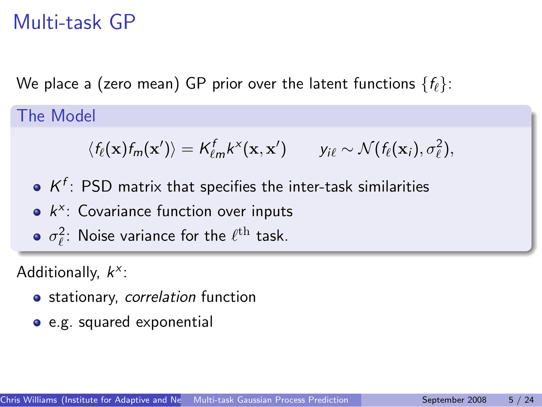### Multi-task GP

We place a (zero mean) GP prior over the latent functions  $\{f_{\ell}\}\$ :

The Model

$$
\langle f_{\ell}(\mathbf{x})f_m(\mathbf{x}')\rangle = K_{\ell m}^f k^{\times}(\mathbf{x}, \mathbf{x}') \qquad y_{i\ell} \sim \mathcal{N}(f_{\ell}(\mathbf{x}_i), \sigma_{\ell}^2),
$$

- $K^f$ : PSD matrix that specifies the inter-task similarities
- $k^x$ : Covariance function over inputs
- $\sigma_{\ell}^2$ : Noise variance for the  $\ell^{\text{th}}$  task.

Additionally,  $k^x$ :

- stationary, correlation function
- e.g. squared exponential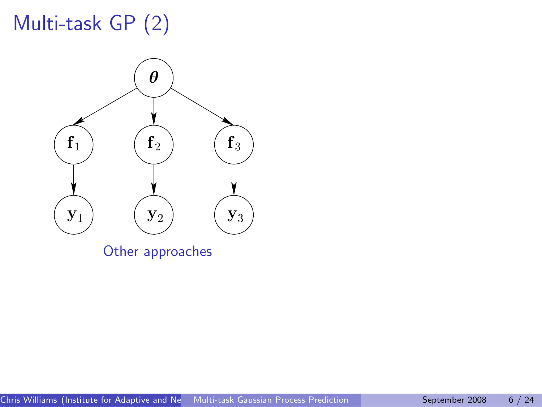

Other approaches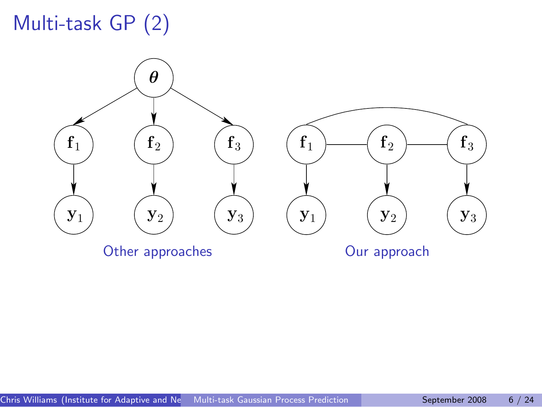



Other approaches **Our approach**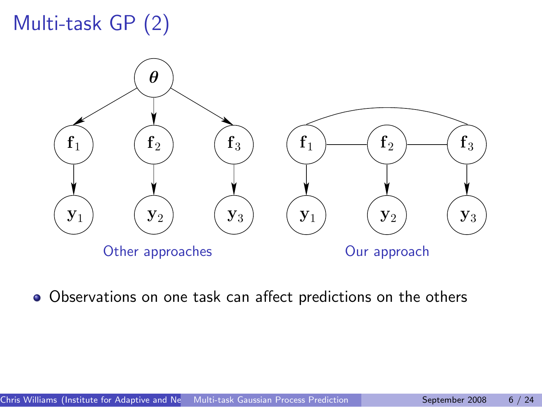

Observations on one task can affect predictions on the others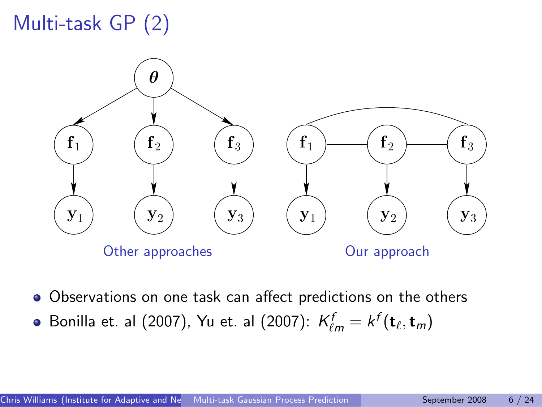

- Observations on one task can affect predictions on the others
- Bonilla et. al (2007), Yu et. al (2007):  $\mathcal{K}^f_{\ell m} = k^f(\mathbf{t}_\ell, \mathbf{t}_m)$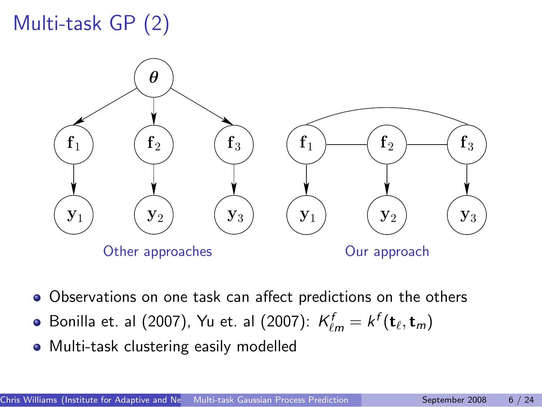

- Observations on one task can affect predictions on the others
- Bonilla et. al (2007), Yu et. al (2007):  $\mathcal{K}^f_{\ell m} = k^f(\mathbf{t}_\ell, \mathbf{t}_m)$
- Multi-task clustering easily modelled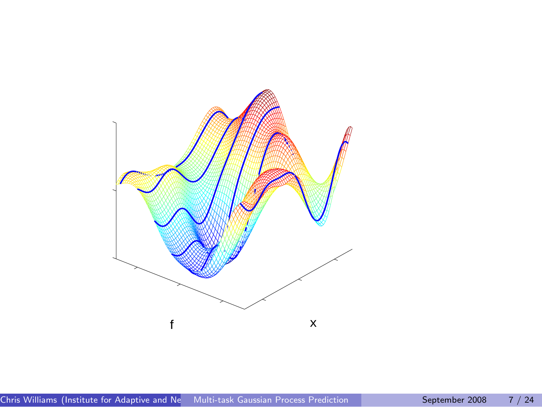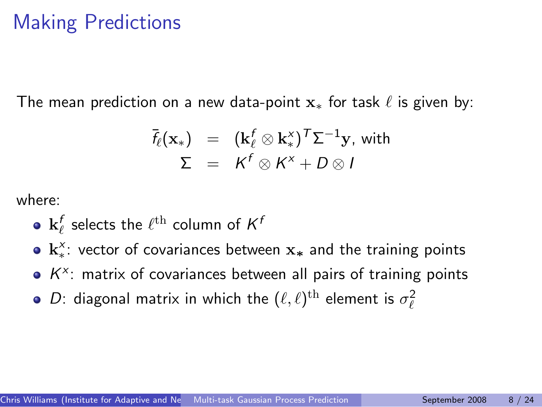# Making Predictions

The mean prediction on a new data-point  $x_*$  for task  $\ell$  is given by:

$$
\begin{array}{rcl}\n\bar{f}_{\ell}(\mathbf{x}_{*}) & = & (\mathbf{k}_{\ell}^{f} \otimes \mathbf{k}_{*}^{x})^{T} \Sigma^{-1} \mathbf{y}, \text{ with} \\
\Sigma & = & K^{f} \otimes K^{x} + D \otimes I\n\end{array}
$$

where:

- $\mathbf{k}_\ell^f$  selects the  $\ell^{\text{th}}$  column of  $\mathsf{K}^t$
- $\mathbf{k}^{\chi}_*$ : vector of covariances between  $\mathbf{x}_*$  and the training points
- $K^x$ : matrix of covariances between all pairs of training points
- $D$ : diagonal matrix in which the  $(\ell, \ell)^\text{th}$  element is  $\sigma_\ell^2$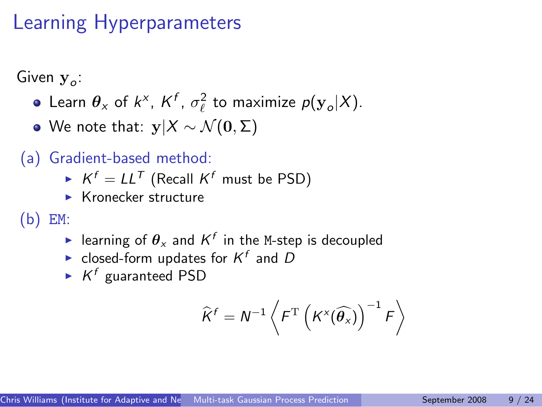# Learning Hyperparameters

Given  $\mathbf{y}_o$ :

- Learn  $\theta_x$  of  $k^x$ ,  $K^f$ ,  $\sigma_\ell^2$  to maximize  $p(\mathbf{y}_o|X)$ .
- We note that:  $y|X \sim \mathcal{N}(0, \Sigma)$
- (a) Gradient-based method:
	- $\blacktriangleright$   $K^f = LL^T$  (Recall  $K^f$  must be PSD)
	- $\blacktriangleright$  Kronecker structure

(b) EM:

- $\blacktriangleright$  learning of  $\theta_{\scriptscriptstyle \cal X}$  and  ${\mathcal K}^f$  in the M-step is decoupled
- ightharpoonup closed-form updates for  $K^f$  and D
- $\blacktriangleright$  K<sup>f</sup> guaranteed PSD

$$
\widehat{K}^{f}=N^{-1}\left\langle F^{\mathrm{T}}\left(K^{\times}(\widehat{\theta_{x}})\right)^{-1}F\right\rangle
$$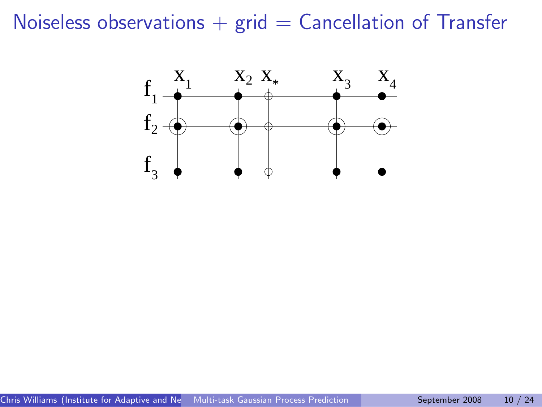### Noiseless observations  $+$  grid  $=$  Cancellation of Transfer

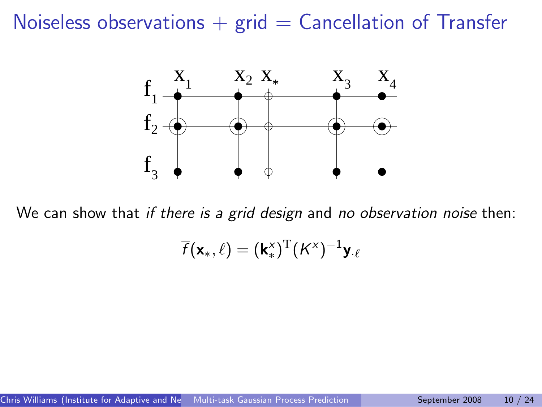### Noiseless observations  $+$  grid  $=$  Cancellation of Transfer



We can show that if there is a grid design and no observation noise then:

$$
\overline{f}(\mathbf{x}_{*}, \ell) = (\mathbf{k}_{*}^{\mathsf{x}})^{\mathrm{T}} (K^{\mathsf{x}})^{-1} \mathbf{y}_{\cdot \ell}
$$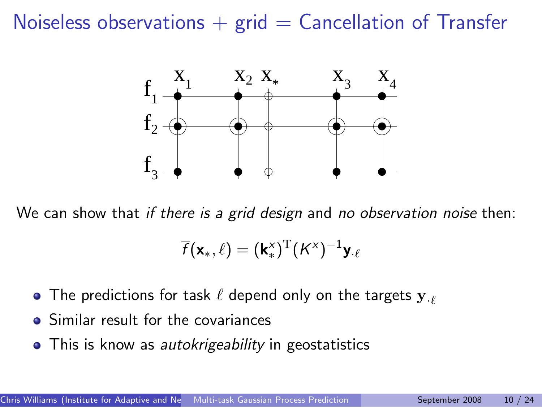### Noiseless observations  $+$  grid  $=$  Cancellation of Transfer



We can show that *if there is a grid design* and *no observation noise* then:

$$
\overline{f}(\mathbf{x}_{*}, \ell) = (\mathbf{k}_{*}^{\times})^{\mathrm{T}} (K^{\times})^{-1} \mathbf{y}_{\cdot \ell}
$$

- The predictions for task  $\ell$  depend only on the targets  $y_{\ell}$
- Similar result for the covariances
- This is know as *autokrigeability* in geostatistics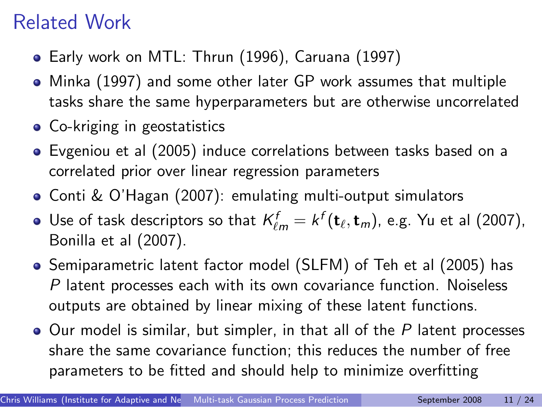# Related Work

- Early work on MTL: Thrun (1996), Caruana (1997)
- Minka (1997) and some other later GP work assumes that multiple tasks share the same hyperparameters but are otherwise uncorrelated
- Co-kriging in geostatistics
- Evgeniou et al (2005) induce correlations between tasks based on a correlated prior over linear regression parameters
- Conti & O'Hagan (2007): emulating multi-output simulators
- Use of task descriptors so that  $\mathcal{K}^f_{\ell m} = \mathcal{k}^f(\mathbf{t}_\ell,\mathbf{t}_m)$ , e.g. Yu et al (2007), Bonilla et al (2007).
- Semiparametric latent factor model (SLFM) of Teh et al (2005) has P latent processes each with its own covariance function. Noiseless outputs are obtained by linear mixing of these latent functions.
- $\bullet$  Our model is similar, but simpler, in that all of the P latent processes share the same covariance function; this reduces the number of free parameters to be fitted and should help to minimize overfitting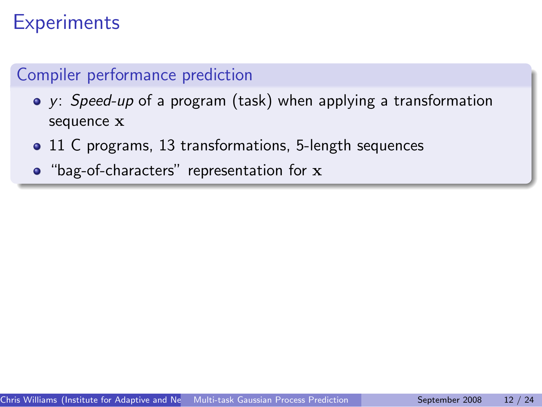# **Experiments**

#### Compiler performance prediction

- y: Speed-up of a program (task) when applying a transformation sequence x
- 11 C programs, 13 transformations, 5-length sequences
- "bag-of-characters" representation for x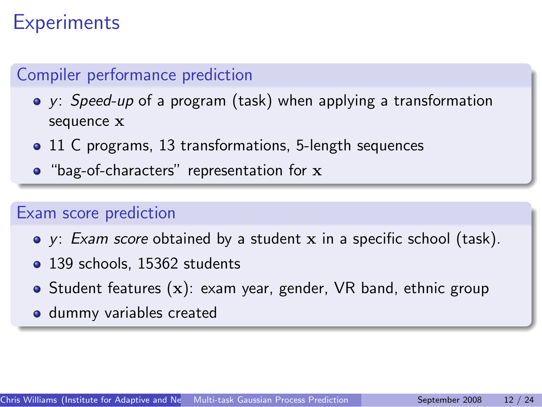# **Experiments**

#### Compiler performance prediction

- y: Speed-up of a program (task) when applying a transformation sequence x
- 11 C programs, 13 transformations, 5-length sequences
- "bag-of-characters" representation for x

#### Exam score prediction

- $\bullet$  y: *Exam score* obtained by a student x in a specific school (task).
- 139 schools, 15362 students
- Student features  $(x)$ : exam year, gender, VR band, ethnic group
- **o** dummy variables created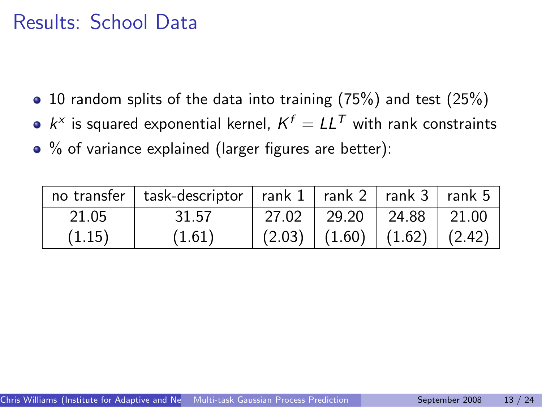### Results: School Data

- 10 random splits of the data into training (75%) and test (25%)
- $k^x$  is squared exponential kernel,  $K^f = LL^T$  with rank constraints
- % of variance explained (larger figures are better):

|        | no transfer   task-descriptor   rank $1$   rank $2$   rank $3$   rank $5$ |        |                            |                                                    |
|--------|---------------------------------------------------------------------------|--------|----------------------------|----------------------------------------------------|
| 21.05  | 31.57                                                                     | 27.02  | 29.20   24.88              | $\begin{array}{c} \n \boxed{21.00} \n \end{array}$ |
| (1.15) | (1.61)                                                                    | (2.03) | $(1.60)$ $(1.62)$ $(2.42)$ |                                                    |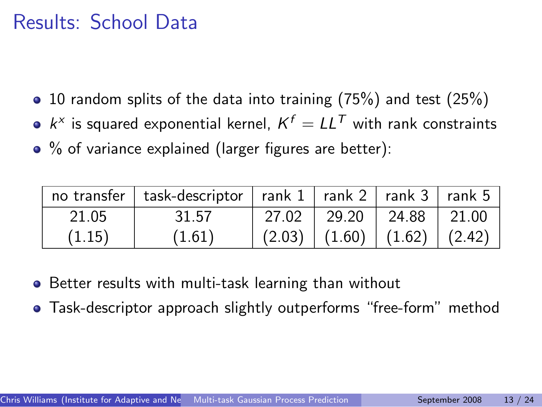### Results: School Data

- $\bullet$  10 random splits of the data into training (75%) and test (25%)
- $k^x$  is squared exponential kernel,  $K^f = LL^T$  with rank constraints
- % of variance explained (larger figures are better):

|        | no transfer   task-descriptor   rank $1$   rank $2$   rank $3$   rank $5$ |        |                            |  |
|--------|---------------------------------------------------------------------------|--------|----------------------------|--|
| 21.05  | 31.57                                                                     | 27.02  | 29.20   24.88   21.00      |  |
| (1.15) | (1.61)                                                                    | (2.03) | $(1.60)$ $(1.62)$ $(2.42)$ |  |

- **•** Better results with multi-task learning than without
- Task-descriptor approach slightly outperforms "free-form" method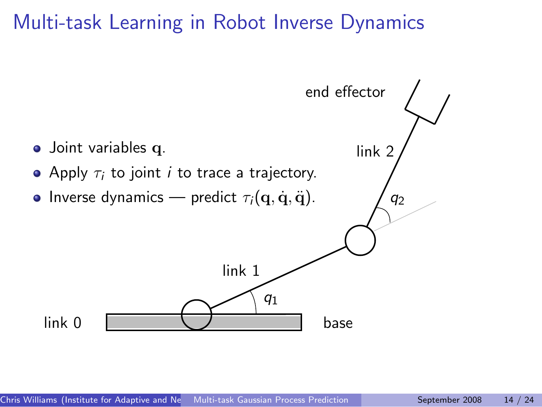### Multi-task Learning in Robot Inverse Dynamics

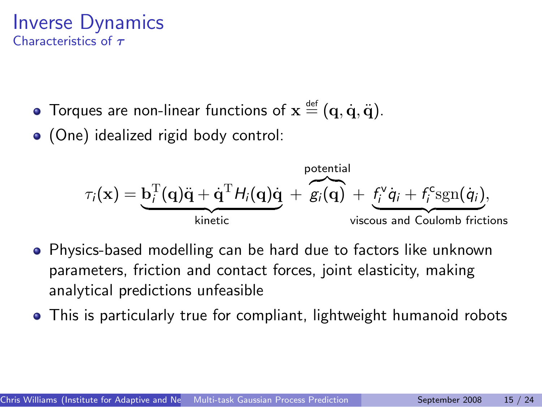#### Inverse Dynamics Characteristics of  $\tau$

- Torques are non-linear functions of  $\mathbf{x} \stackrel{\text{\tiny def}}{=} (\mathbf{q},\dot{\mathbf{q}},\ddot{\mathbf{q}}).$
- (One) idealized rigid body control:

$$
\tau_i(\mathbf{x}) = \underbrace{\mathbf{b}_i^{\mathrm{T}}(\mathbf{q})\ddot{\mathbf{q}} + \dot{\mathbf{q}}^{\mathrm{T}}H_i(\mathbf{q})\dot{\mathbf{q}}}_{\text{kinetic}} + \underbrace{\mathbf{g}_i(\mathbf{q})}_{\text{viscous and Coulomb friction}}
$$

- Physics-based modelling can be hard due to factors like unknown parameters, friction and contact forces, joint elasticity, making analytical predictions unfeasible
- This is particularly true for compliant, lightweight humanoid robots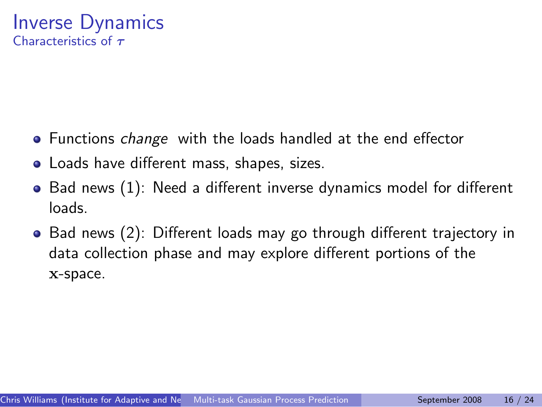#### Inverse Dynamics Characteristics of  $\tau$

- Functions *change* with the loads handled at the end effector
- Loads have different mass, shapes, sizes.
- Bad news (1): Need a different inverse dynamics model for different loads.
- Bad news (2): Different loads may go through different trajectory in data collection phase and may explore different portions of the x-space.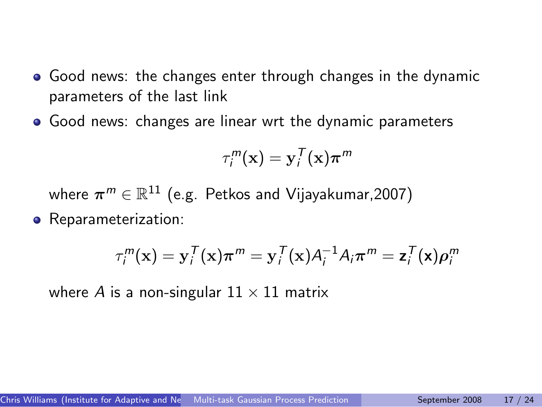- Good news: the changes enter through changes in the dynamic parameters of the last link
- Good news: changes are linear wrt the dynamic parameters

$$
\tau_i^m(\mathbf{x}) = \mathbf{y}_i^T(\mathbf{x})\boldsymbol{\pi}^m
$$

where  $\boldsymbol{\pi}^m \in \mathbb{R}^{11}$  (e.g. Petkos and Vijayakumar,2007)

• Reparameterization:

$$
\tau_i^m(\mathbf{x}) = \mathbf{y}_i^T(\mathbf{x})\boldsymbol{\pi}^m = \mathbf{y}_i^T(\mathbf{x})A_i^{-1}A_i\boldsymbol{\pi}^m = \mathbf{z}_i^T(\mathbf{x})\boldsymbol{\rho}_i^m
$$

where A is a non-singular  $11 \times 11$  matrix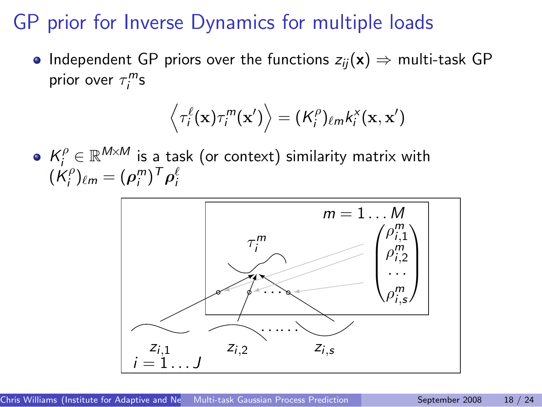### GP prior for Inverse Dynamics for multiple loads

• Independent GP priors over the functions  $z_{ij}(x) \Rightarrow$  multi-task GP prior over  $\tau_i^m$ s

$$
\left\langle \tau_i^{\ell}(\mathbf{x})\tau_i^m(\mathbf{x}') \right\rangle = (K_i^{\rho})_{\ell m}k_i^{\mathsf{x}}(\mathbf{x},\mathbf{x}')
$$

 $K_i^{\rho} \in \mathbb{R}^{M \times M}$  is a task (or context) similarity matrix with  $(\dot{\mathsf{K}}_i^\rho$  $(\rho_i^{\prime\prime})_{\ell m}=(\rho_i^m)^T\rho_i^{\ell m}$ 

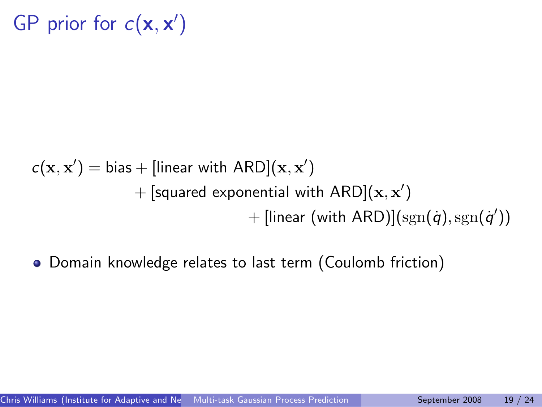GP prior for  $c(\mathbf{x}, \mathbf{x}')$ 

$$
c(\mathbf{x}, \mathbf{x}') = \text{bias} + [\text{linear with ARD}](\mathbf{x}, \mathbf{x}')
$$
  
+ [squared exponential with ARD](\mathbf{x}, \mathbf{x}')  
+ [linear (with ARD)](sgn(*q*), sgn(*q*'))

Domain knowledge relates to last term (Coulomb friction)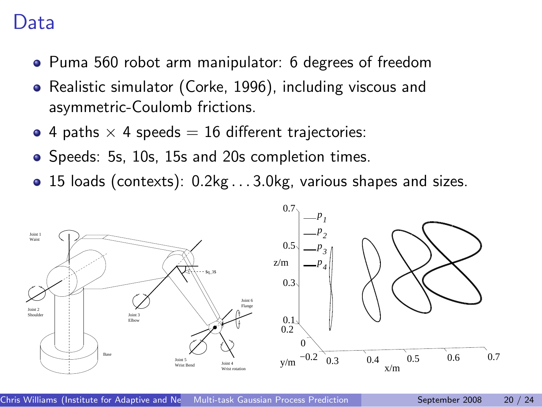### Data

- Puma 560 robot arm manipulator: 6 degrees of freedom
- Realistic simulator (Corke, 1996), including viscous and asymmetric-Coulomb frictions.
- 4 paths  $\times$  4 speeds = 16 different trajectories:
- Speeds: 5s, 10s, 15s and 20s completion times.
- 15 loads (contexts): 0.2kg . . . 3.0kg, various shapes and sizes.

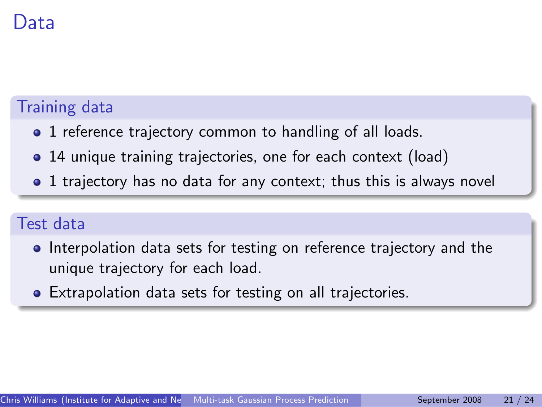## Data

#### Training data

- 1 reference trajectory common to handling of all loads.
- 14 unique training trajectories, one for each context (load)
- 1 trajectory has no data for any context; thus this is always novel

#### Test data

- Interpolation data sets for testing on reference trajectory and the unique trajectory for each load.
- Extrapolation data sets for testing on all trajectories.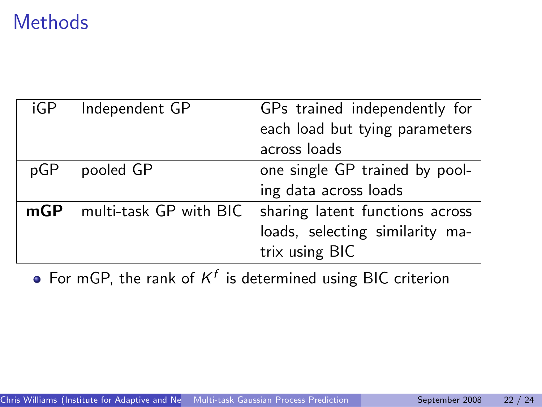## **Methods**

| iGP | Independent GP         | GPs trained independently for   |
|-----|------------------------|---------------------------------|
|     |                        | each load but tying parameters  |
|     |                        | across loads                    |
| pGP | pooled GP              | one single GP trained by pool-  |
|     |                        | ing data across loads           |
| mGP | multi-task GP with BIC | sharing latent functions across |
|     |                        | loads, selecting similarity ma- |
|     |                        | trix using BIC                  |

For mGP, the rank of  $K^f$  is determined using BIC criterion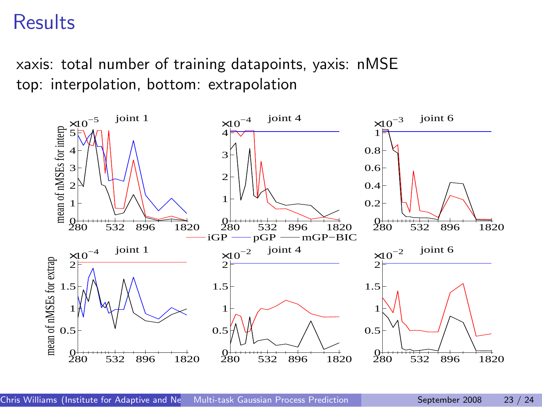### **Results**

xaxis: total number of training datapoints, yaxis: nMSE top: interpolation, bottom: extrapolation